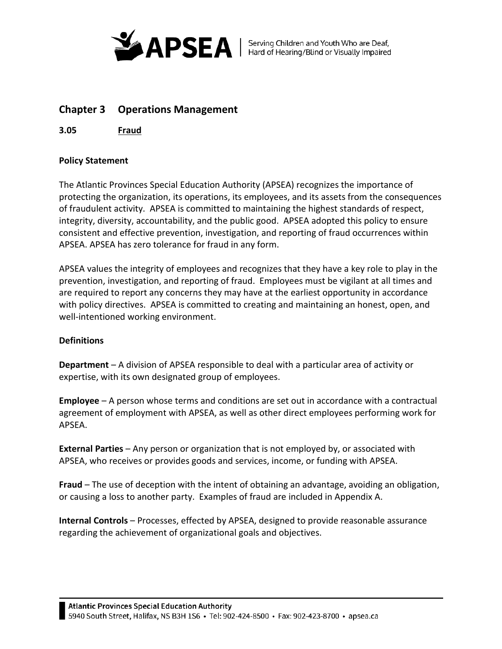

# **Chapter 3 Operations Management**

**3.05 Fraud**

# **Policy Statement**

The Atlantic Provinces Special Education Authority (APSEA) recognizes the importance of protecting the organization, its operations, its employees, and its assets from the consequences of fraudulent activity. APSEA is committed to maintaining the highest standards of respect, integrity, diversity, accountability, and the public good. APSEA adopted this policy to ensure consistent and effective prevention, investigation, and reporting of fraud occurrences within APSEA. APSEA has zero tolerance for fraud in any form.

APSEA values the integrity of employees and recognizes that they have a key role to play in the prevention, investigation, and reporting of fraud. Employees must be vigilant at all times and are required to report any concerns they may have at the earliest opportunity in accordance with policy directives. APSEA is committed to creating and maintaining an honest, open, and well-intentioned working environment.

## **Definitions**

**Department** – A division of APSEA responsible to deal with a particular area of activity or expertise, with its own designated group of employees.

**Employee** – A person whose terms and conditions are set out in accordance with a contractual agreement of employment with APSEA, as well as other direct employees performing work for APSEA.

**External Parties** – Any person or organization that is not employed by, or associated with APSEA, who receives or provides goods and services, income, or funding with APSEA.

**Fraud** – The use of deception with the intent of obtaining an advantage, avoiding an obligation, or causing a loss to another party. Examples of fraud are included in Appendix A.

**Internal Controls** – Processes, effected by APSEA, designed to provide reasonable assurance regarding the achievement of organizational goals and objectives.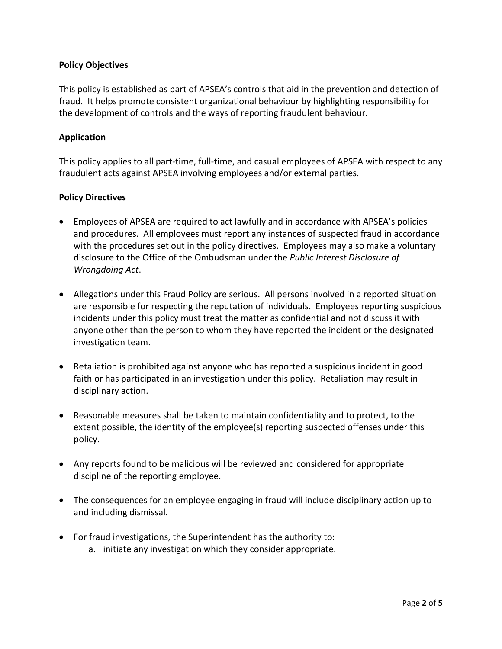# **Policy Objectives**

This policy is established as part of APSEA's controls that aid in the prevention and detection of fraud. It helps promote consistent organizational behaviour by highlighting responsibility for the development of controls and the ways of reporting fraudulent behaviour.

# **Application**

This policy applies to all part-time, full-time, and casual employees of APSEA with respect to any fraudulent acts against APSEA involving employees and/or external parties.

## **Policy Directives**

- Employees of APSEA are required to act lawfully and in accordance with APSEA's policies and procedures. All employees must report any instances of suspected fraud in accordance with the procedures set out in the policy directives. Employees may also make a voluntary disclosure to the Office of the Ombudsman under the *Public Interest Disclosure of Wrongdoing Act*.
- Allegations under this Fraud Policy are serious. All persons involved in a reported situation are responsible for respecting the reputation of individuals. Employees reporting suspicious incidents under this policy must treat the matter as confidential and not discuss it with anyone other than the person to whom they have reported the incident or the designated investigation team.
- Retaliation is prohibited against anyone who has reported a suspicious incident in good faith or has participated in an investigation under this policy. Retaliation may result in disciplinary action.
- Reasonable measures shall be taken to maintain confidentiality and to protect, to the extent possible, the identity of the employee(s) reporting suspected offenses under this policy.
- Any reports found to be malicious will be reviewed and considered for appropriate discipline of the reporting employee.
- The consequences for an employee engaging in fraud will include disciplinary action up to and including dismissal.
- For fraud investigations, the Superintendent has the authority to:
	- a. initiate any investigation which they consider appropriate.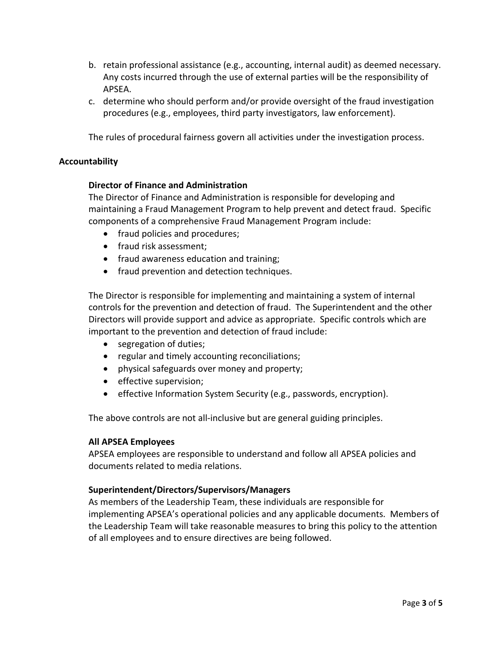- b. retain professional assistance (e.g., accounting, internal audit) as deemed necessary. Any costs incurred through the use of external parties will be the responsibility of APSEA.
- c. determine who should perform and/or provide oversight of the fraud investigation procedures (e.g., employees, third party investigators, law enforcement).

The rules of procedural fairness govern all activities under the investigation process.

#### **Accountability**

#### **Director of Finance and Administration**

The Director of Finance and Administration is responsible for developing and maintaining a Fraud Management Program to help prevent and detect fraud. Specific components of a comprehensive Fraud Management Program include:

- fraud policies and procedures;
- fraud risk assessment:
- fraud awareness education and training;
- fraud prevention and detection techniques.

The Director is responsible for implementing and maintaining a system of internal controls for the prevention and detection of fraud. The Superintendent and the other Directors will provide support and advice as appropriate. Specific controls which are important to the prevention and detection of fraud include:

- segregation of duties;
- regular and timely accounting reconciliations;
- physical safeguards over money and property;
- effective supervision;
- effective Information System Security (e.g., passwords, encryption).

The above controls are not all-inclusive but are general guiding principles.

#### **All APSEA Employees**

APSEA employees are responsible to understand and follow all APSEA policies and documents related to media relations.

## **Superintendent/Directors/Supervisors/Managers**

As members of the Leadership Team, these individuals are responsible for implementing APSEA's operational policies and any applicable documents. Members of the Leadership Team will take reasonable measures to bring this policy to the attention of all employees and to ensure directives are being followed.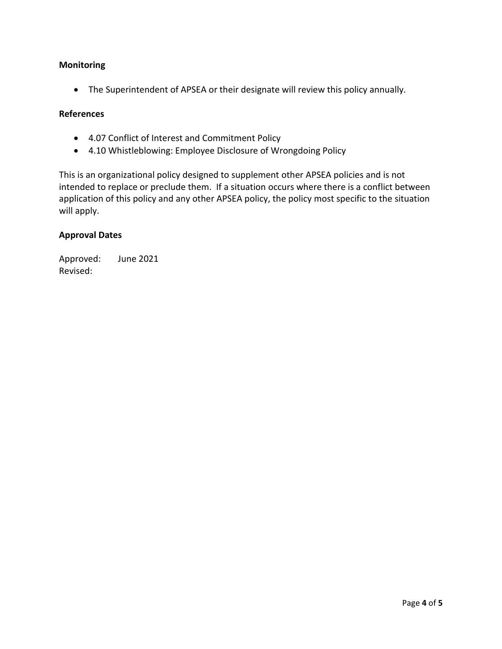## **Monitoring**

• The Superintendent of APSEA or their designate will review this policy annually.

# **References**

- 4.07 Conflict of Interest and Commitment Policy
- 4.10 Whistleblowing: Employee Disclosure of Wrongdoing Policy

This is an organizational policy designed to supplement other APSEA policies and is not intended to replace or preclude them. If a situation occurs where there is a conflict between application of this policy and any other APSEA policy, the policy most specific to the situation will apply.

#### **Approval Dates**

Approved: June 2021 Revised: